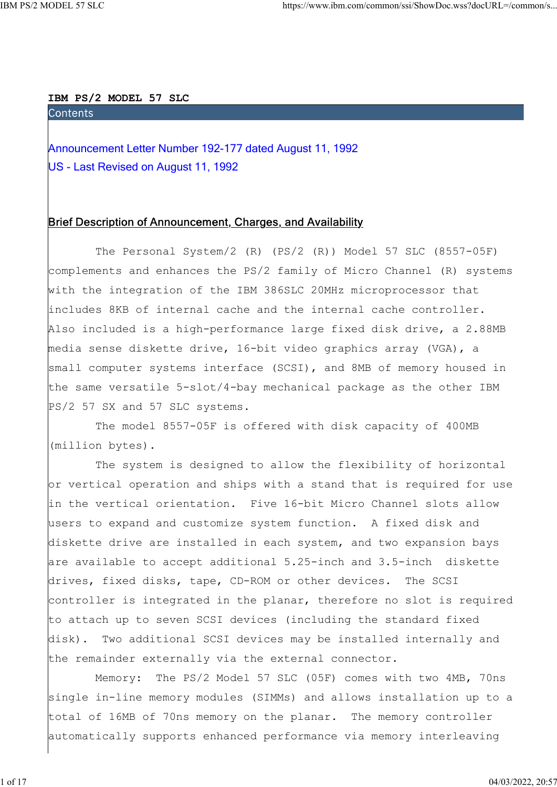## IBM PS/2 MODEL 57 SLC

https://www.ibm.com/common/ssi/ShowDoc.wss?docURL=/common/s<br> **Announcement Letter Number 192-177 dated August 11, 1992**<br>
US - Last Revised on August 11, 1992 US - Last Revised on August 11, 1992

# Brief Description of Announcement, Charges, and Availability

 The Personal System/2 (R) (PS/2 (R)) Model 57 SLC (8557-05F) complements and enhances the PS/2 family of Micro Channel (R) systems with the integration of the IBM 386SLC 20MHz microprocessor that includes 8KB of internal cache and the internal cache controller. Also included is a high-performance large fixed disk drive, a 2.88MB media sense diskette drive, 16-bit video graphics array (VGA), a small computer systems interface (SCSI), and 8MB of memory housed in the same versatile 5-slot/4-bay mechanical package as the other IBM PS/2 57 SX and 57 SLC systems.

 The model 8557-05F is offered with disk capacity of 400MB (million bytes).

 The system is designed to allow the flexibility of horizontal or vertical operation and ships with a stand that is required for use in the vertical orientation. Five 16-bit Micro Channel slots allow users to expand and customize system function. A fixed disk and diskette drive are installed in each system, and two expansion bays are available to accept additional 5.25-inch and 3.5-inch diskette drives, fixed disks, tape, CD-ROM or other devices. The SCSI controller is integrated in the planar, therefore no slot is required to attach up to seven SCSI devices (including the standard fixed disk). Two additional SCSI devices may be installed internally and the remainder externally via the external connector.

 Memory: The PS/2 Model 57 SLC (05F) comes with two 4MB, 70ns single in-line memory modules (SIMMs) and allows installation up to a total of 16MB of 70ns memory on the planar. The memory controller automatically supports enhanced performance via memory interleaving

1 of 17 04/03/2022, 20:57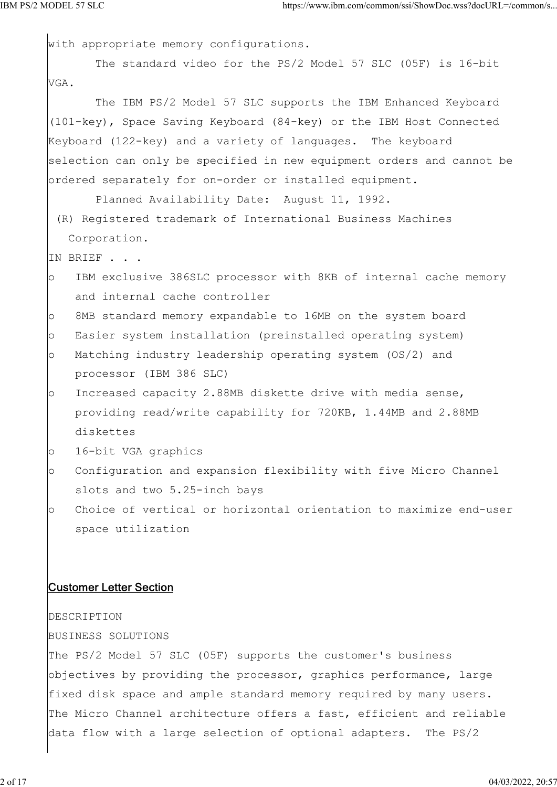with appropriate memory configurations. The standard video for the PS/2 Model 57 SLC (05F) is 16-bit VGA. The IBM PS/2 Model 57 SLC supports the IBM Enhanced Keyboard (101-key), Space Saving Keyboard (84-key) or the IBM Host Connected Keyboard (122-key) and a variety of languages. The keyboard selection can only be specified in new equipment orders and cannot be ordered separately for on-order or installed equipment. Planned Availability Date: August 11, 1992. (R) Registered trademark of International Business Machines Corporation. IN BRIEF . . . o IBM exclusive 386SLC processor with 8KB of internal cache memory and internal cache controller o 8MB standard memory expandable to 16MB on the system board o Easier system installation (preinstalled operating system) o Matching industry leadership operating system (OS/2) and processor (IBM 386 SLC) o Increased capacity 2.88MB diskette drive with media sense, providing read/write capability for 720KB, 1.44MB and 2.88MB diskettes o 16-bit VGA graphics o Configuration and expansion flexibility with five Micro Channel slots and two 5.25-inch bays o Choice of vertical or horizontal orientation to maximize end-user space utilization Customer Letter Section DESCRIPTION BUSINESS SOLUTIONS The PS/2 Model 57 SLC (05F) supports the customer's business objectives by providing the processor, graphics performance, large fixed disk space and ample standard memory required by many users. The Micro Channel architecture offers a fast, efficient and reliable data flow with a large selection of optional adapters. The PS/2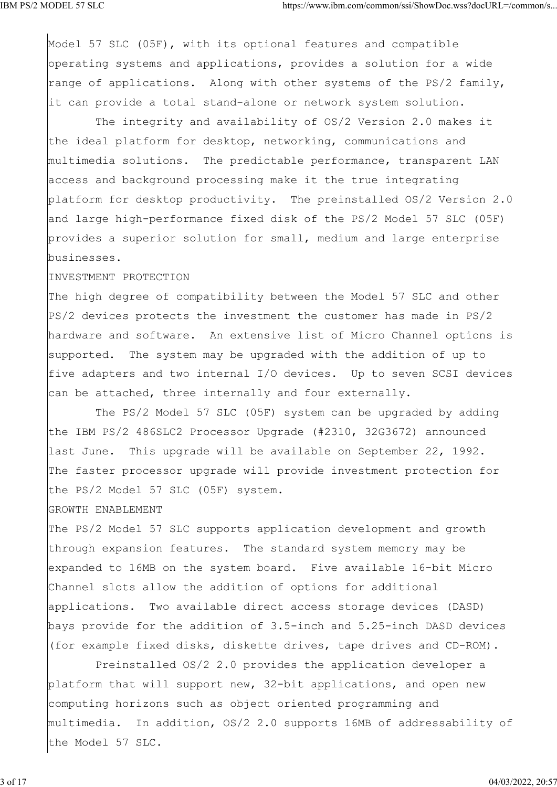Model 57 SLC (05F), with its optional features and compatible operating systems and applications, provides a solution for a wide range of applications. Along with other systems of the PS/2 family, it can provide a total stand-alone or network system solution.

 The integrity and availability of OS/2 Version 2.0 makes it the ideal platform for desktop, networking, communications and multimedia solutions. The predictable performance, transparent LAN access and background processing make it the true integrating platform for desktop productivity. The preinstalled OS/2 Version 2.0 and large high-performance fixed disk of the PS/2 Model 57 SLC (05F) provides a superior solution for small, medium and large enterprise businesses.

#### INVESTMENT PROTECTION

The high degree of compatibility between the Model 57 SLC and other PS/2 devices protects the investment the customer has made in PS/2 hardware and software. An extensive list of Micro Channel options is supported. The system may be upgraded with the addition of up to five adapters and two internal I/O devices. Up to seven SCSI devices can be attached, three internally and four externally.

 The PS/2 Model 57 SLC (05F) system can be upgraded by adding the IBM PS/2 486SLC2 Processor Upgrade (#2310, 32G3672) announced last June. This upgrade will be available on September 22, 1992. The faster processor upgrade will provide investment protection for the PS/2 Model 57 SLC (05F) system.

### GROWTH ENABLEMENT

The PS/2 Model 57 SLC supports application development and growth through expansion features. The standard system memory may be expanded to 16MB on the system board. Five available 16-bit Micro Channel slots allow the addition of options for additional applications. Two available direct access storage devices (DASD) bays provide for the addition of 3.5-inch and 5.25-inch DASD devices (for example fixed disks, diskette drives, tape drives and CD-ROM).

 Preinstalled OS/2 2.0 provides the application developer a platform that will support new, 32-bit applications, and open new computing horizons such as object oriented programming and multimedia. In addition, OS/2 2.0 supports 16MB of addressability of the Model 57 SLC.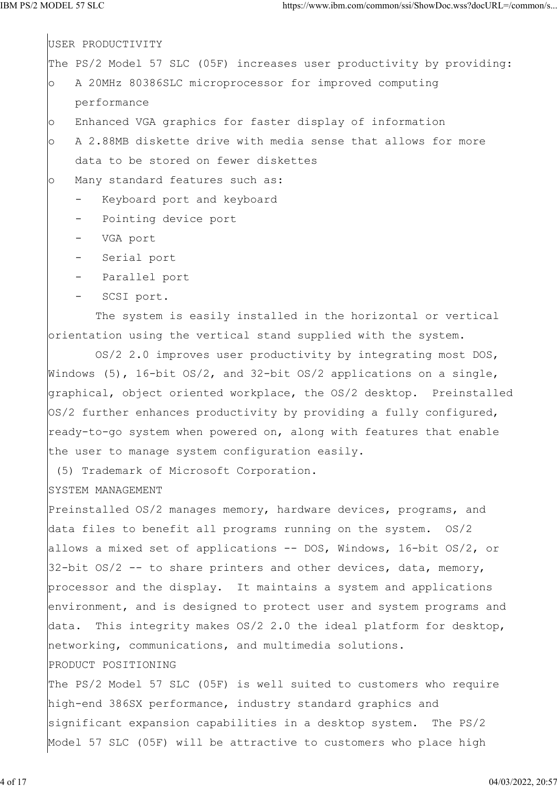USER PRODUCTIVITY The PS/2 Model 57 SLC (05F) increases user productivity by providing: o A 20MHz 80386SLC microprocessor for improved computing performance o Enhanced VGA graphics for faster display of information o A 2.88MB diskette drive with media sense that allows for more data to be stored on fewer diskettes o Many standard features such as: Keyboard port and keyboard Pointing device port - VGA port - Serial port - Parallel port - SCSI port. The system is easily installed in the horizontal or vertical orientation using the vertical stand supplied with the system. OS/2 2.0 improves user productivity by integrating most DOS, Windows (5), 16-bit  $OS/2$ , and 32-bit  $OS/2$  applications on a single, graphical, object oriented workplace, the OS/2 desktop. Preinstalled OS/2 further enhances productivity by providing a fully configured, ready-to-go system when powered on, along with features that enable the user to manage system configuration easily. (5) Trademark of Microsoft Corporation. SYSTEM MANAGEMENT Preinstalled OS/2 manages memory, hardware devices, programs, and

data files to benefit all programs running on the system. OS/2 allows a mixed set of applications -- DOS, Windows, 16-bit OS/2, or 32-bit  $OS/2$  -- to share printers and other devices, data, memory, processor and the display. It maintains a system and applications environment, and is designed to protect user and system programs and data. This integrity makes OS/2 2.0 the ideal platform for desktop, networking, communications, and multimedia solutions. PRODUCT POSITIONING

The PS/2 Model 57 SLC (05F) is well suited to customers who require high-end 386SX performance, industry standard graphics and significant expansion capabilities in a desktop system. The PS/2 Model 57 SLC (05F) will be attractive to customers who place high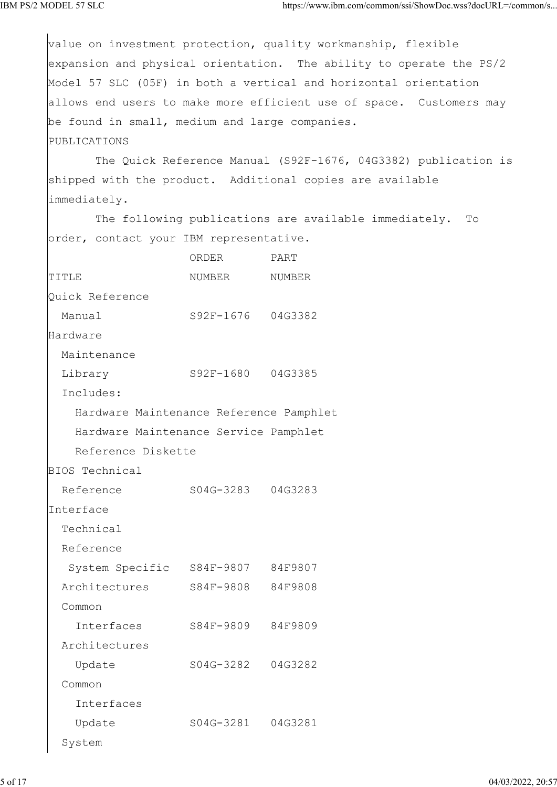value on investment protection, quality workmanship, flexible expansion and physical orientation. The ability to operate the PS/2 Model 57 SLC (05F) in both a vertical and horizontal orientation allows end users to make more efficient use of space. Customers may be found in small, medium and large companies. PUBLICATIONS The Quick Reference Manual (S92F-1676, 04G3382) publication is shipped with the product. Additional copies are available immediately. The following publications are available immediately. To order, contact your IBM representative. ORDER PART TITLE NUMBER NUMBER Quick Reference Manual S92F-1676 04G3382 Hardware Maintenance Library S92F-1680 04G3385 Includes: Hardware Maintenance Reference Pamphlet Hardware Maintenance Service Pamphlet Reference Diskette BIOS Technical Reference S04G-3283 04G3283 Interface Technical Reference System Specific S84F-9807 84F9807 Architectures S84F-9808 84F9808 Common Interfaces S84F-9809 84F9809 Architectures Update S04G-3282 04G3282 Common Interfaces Update S04G-3281 04G3281 System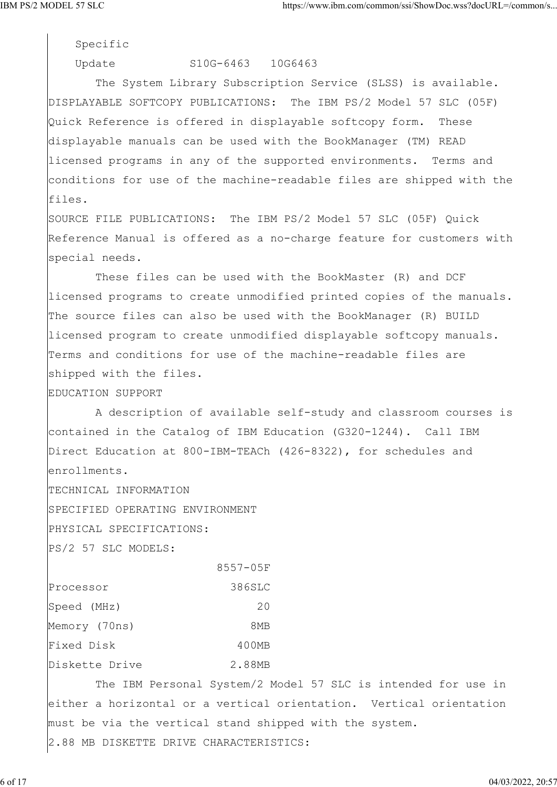Specific

## Update S10G-6463 10G6463

 The System Library Subscription Service (SLSS) is available. DISPLAYABLE SOFTCOPY PUBLICATIONS: The IBM PS/2 Model 57 SLC (05F) Quick Reference is offered in displayable softcopy form. These displayable manuals can be used with the BookManager (TM) READ licensed programs in any of the supported environments. Terms and conditions for use of the machine-readable files are shipped with the files.

SOURCE FILE PUBLICATIONS: The IBM PS/2 Model 57 SLC (05F) Quick Reference Manual is offered as a no-charge feature for customers with special needs.

 These files can be used with the BookMaster (R) and DCF licensed programs to create unmodified printed copies of the manuals. The source files can also be used with the BookManager (R) BUILD licensed program to create unmodified displayable softcopy manuals. Terms and conditions for use of the machine-readable files are shipped with the files.

EDUCATION SUPPORT

 A description of available self-study and classroom courses is contained in the Catalog of IBM Education (G320-1244). Call IBM Direct Education at 800-IBM-TEACh (426-8322), for schedules and enrollments.

TECHNICAL INFORMATION

SPECIFIED OPERATING ENVIRONMENT

PHYSICAL SPECIFICATIONS:

PS/2 57 SLC MODELS:

|                | 8557-05F |
|----------------|----------|
| Processor      | 386SLC   |
| Speed (MHz)    | 20       |
| Memory (70ns)  | 8MB      |
| Fixed Disk     | 400MB    |
| Diskette Drive | 2.88MB   |

 The IBM Personal System/2 Model 57 SLC is intended for use in either a horizontal or a vertical orientation. Vertical orientation must be via the vertical stand shipped with the system. 2.88 MB DISKETTE DRIVE CHARACTERISTICS: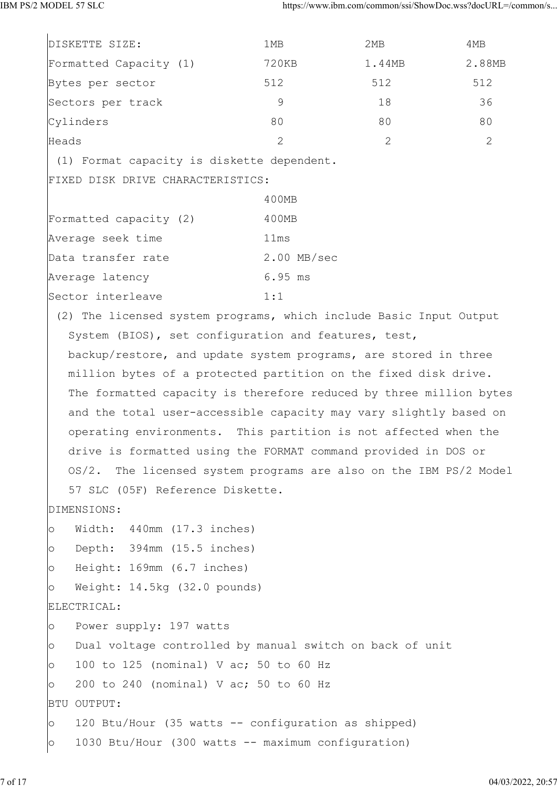| DISKETTE SIZE:                                                      | 1MB           | 2MB    | 4MB    |
|---------------------------------------------------------------------|---------------|--------|--------|
| Formatted Capacity (1)                                              | 720KB         | 1.44MB | 2.88MB |
| Bytes per sector                                                    | 512           | 512    | 512    |
| Sectors per track                                                   | 9             | 18     | 36     |
| Cylinders                                                           | 80            | 80     | 80     |
| Heads                                                               | 2             | 2      | 2      |
| (1) Format capacity is diskette dependent.                          |               |        |        |
| FIXED DISK DRIVE CHARACTERISTICS:                                   |               |        |        |
|                                                                     | 400MB         |        |        |
| Formatted capacity (2)                                              | 400MB         |        |        |
| Average seek time                                                   | 11ms          |        |        |
| Data transfer rate                                                  | $2.00$ MB/sec |        |        |
| Average latency                                                     | $6.95$ ms     |        |        |
| Sector interleave                                                   | 1:1           |        |        |
| (2) The licensed system programs, which include Basic Input Output  |               |        |        |
| System (BIOS), set configuration and features, test,                |               |        |        |
| backup/restore, and update system programs, are stored in three     |               |        |        |
| million bytes of a protected partition on the fixed disk drive.     |               |        |        |
| The formatted capacity is therefore reduced by three million bytes  |               |        |        |
| and the total user-accessible capacity may vary slightly based on   |               |        |        |
| operating environments. This partition is not affected when the     |               |        |        |
| drive is formatted using the FORMAT command provided in DOS or      |               |        |        |
| OS/2. The licensed system programs are also on the IBM PS/2 Model   |               |        |        |
| 57 SLC (05F) Reference Diskette.                                    |               |        |        |
| DIMENSIONS:                                                         |               |        |        |
| Width: 440mm (17.3 inches)<br>$\circ$                               |               |        |        |
| Depth: 394mm (15.5 inches)<br>$\circ$                               |               |        |        |
| Height: 169mm (6.7 inches)<br>$\circ$                               |               |        |        |
| Weight: 14.5kg (32.0 pounds)<br>$\circ$                             |               |        |        |
| ELECTRICAL:                                                         |               |        |        |
| Power supply: 197 watts<br>$\circ$                                  |               |        |        |
| Dual voltage controlled by manual switch on back of unit<br>$\circ$ |               |        |        |
| 100 to 125 (nominal) V ac; 50 to 60 Hz<br>$\circ$                   |               |        |        |
| 200 to 240 (nominal) V ac; 50 to 60 Hz<br>$\circ$                   |               |        |        |
| BTU OUTPUT:                                                         |               |        |        |
| 120 Btu/Hour (35 watts -- configuration as shipped)<br>$\circ$      |               |        |        |
| 1030 Btu/Hour (300 watts -- maximum configuration)<br>$\circ$       |               |        |        |
|                                                                     |               |        |        |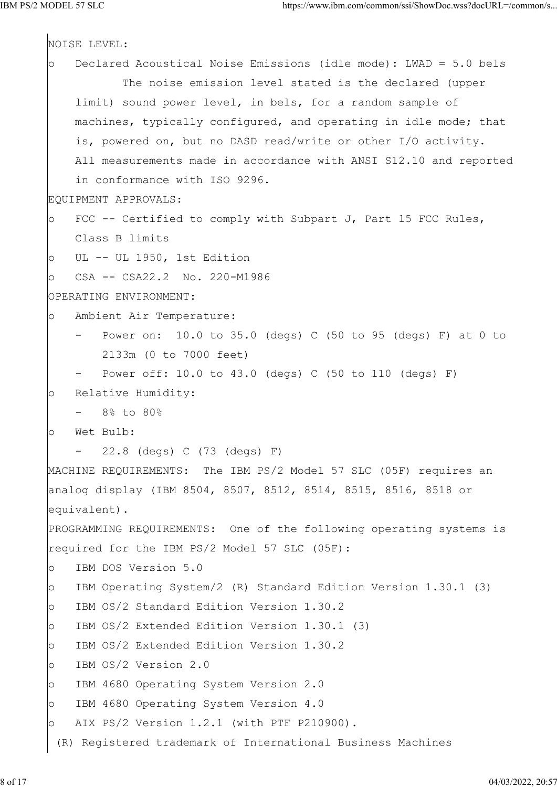```
NOISE LEVEL:
o Declared Acoustical Noise Emissions (idle mode): LWAD = 5.0 bels
            The noise emission level stated is the declared (upper
     limit) sound power level, in bels, for a random sample of
    machines, typically configured, and operating in idle mode; that
     is, powered on, but no DASD read/write or other I/O activity.
    All measurements made in accordance with ANSI S12.10 and reported
     in conformance with ISO 9296.
EQUIPMENT APPROVALS:
o FCC -- Certified to comply with Subpart J, Part 15 FCC Rules,
    Class B limits
o UL -- UL 1950, 1st Edition
o CSA -- CSA22.2 No. 220-M1986
OPERATING ENVIRONMENT:
o Ambient Air Temperature:
     - Power on: 10.0 to 35.0 (degs) C (50 to 95 (degs) F) at 0 to
        2133m (0 to 7000 feet)
       Power off: 10.0 to 43.0 (degs) C (50 to 110 (degs) F)
o Relative Humidity:
    - 8% to 80%
o Wet Bulb:
        - 22.8 (degs) C (73 (degs) F)
MACHINE REQUIREMENTS: The IBM PS/2 Model 57 SLC (05F) requires an
analog display (IBM 8504, 8507, 8512, 8514, 8515, 8516, 8518 or
equivalent).
PROGRAMMING REQUIREMENTS: One of the following operating systems is
required for the IBM PS/2 Model 57 SLC (05F):
o IBM DOS Version 5.0
o IBM Operating System/2 (R) Standard Edition Version 1.30.1 (3)
o IBM OS/2 Standard Edition Version 1.30.2
o IBM OS/2 Extended Edition Version 1.30.1 (3)
o IBM OS/2 Extended Edition Version 1.30.2
o IBM OS/2 Version 2.0
o IBM 4680 Operating System Version 2.0
o IBM 4680 Operating System Version 4.0
o AIX PS/2 Version 1.2.1 (with PTF P210900).
  (R) Registered trademark of International Business Machines
```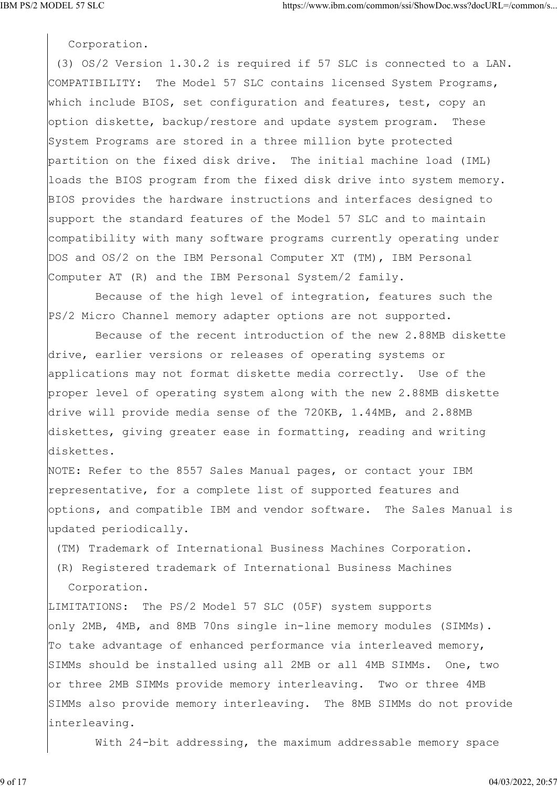Corporation.

 (3) OS/2 Version 1.30.2 is required if 57 SLC is connected to a LAN. COMPATIBILITY: The Model 57 SLC contains licensed System Programs, which include BIOS, set configuration and features, test, copy an option diskette, backup/restore and update system program. These System Programs are stored in a three million byte protected partition on the fixed disk drive. The initial machine load (IML) loads the BIOS program from the fixed disk drive into system memory. BIOS provides the hardware instructions and interfaces designed to support the standard features of the Model 57 SLC and to maintain compatibility with many software programs currently operating under DOS and OS/2 on the IBM Personal Computer XT (TM), IBM Personal Computer AT (R) and the IBM Personal System/2 family.

 Because of the high level of integration, features such the PS/2 Micro Channel memory adapter options are not supported.

 Because of the recent introduction of the new 2.88MB diskette drive, earlier versions or releases of operating systems or applications may not format diskette media correctly. Use of the proper level of operating system along with the new 2.88MB diskette drive will provide media sense of the 720KB, 1.44MB, and 2.88MB diskettes, giving greater ease in formatting, reading and writing diskettes.

NOTE: Refer to the 8557 Sales Manual pages, or contact your IBM representative, for a complete list of supported features and options, and compatible IBM and vendor software. The Sales Manual is updated periodically.

(TM) Trademark of International Business Machines Corporation.

 (R) Registered trademark of International Business Machines Corporation.

LIMITATIONS: The PS/2 Model 57 SLC (05F) system supports only 2MB, 4MB, and 8MB 70ns single in-line memory modules (SIMMs). To take advantage of enhanced performance via interleaved memory, SIMMs should be installed using all 2MB or all 4MB SIMMs. One, two or three 2MB SIMMs provide memory interleaving. Two or three 4MB SIMMs also provide memory interleaving. The 8MB SIMMs do not provide interleaving.

With 24-bit addressing, the maximum addressable memory space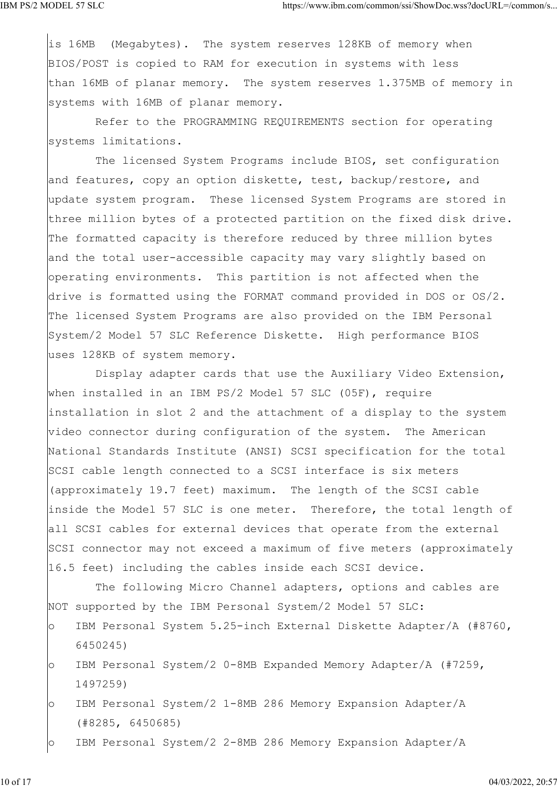is 16MB (Megabytes). The system reserves 128KB of memory when BIOS/POST is copied to RAM for execution in systems with less than 16MB of planar memory. The system reserves 1.375MB of memory in systems with 16MB of planar memory.

 Refer to the PROGRAMMING REQUIREMENTS section for operating systems limitations.

 The licensed System Programs include BIOS, set configuration and features, copy an option diskette, test, backup/restore, and update system program. These licensed System Programs are stored in three million bytes of a protected partition on the fixed disk drive. The formatted capacity is therefore reduced by three million bytes and the total user-accessible capacity may vary slightly based on operating environments. This partition is not affected when the drive is formatted using the FORMAT command provided in DOS or OS/2. The licensed System Programs are also provided on the IBM Personal System/2 Model 57 SLC Reference Diskette. High performance BIOS uses 128KB of system memory.

 Display adapter cards that use the Auxiliary Video Extension, when installed in an IBM PS/2 Model 57 SLC (05F), require installation in slot 2 and the attachment of a display to the system video connector during configuration of the system. The American National Standards Institute (ANSI) SCSI specification for the total SCSI cable length connected to a SCSI interface is six meters (approximately 19.7 feet) maximum. The length of the SCSI cable inside the Model 57 SLC is one meter. Therefore, the total length of all SCSI cables for external devices that operate from the external SCSI connector may not exceed a maximum of five meters (approximately 16.5 feet) including the cables inside each SCSI device.

 The following Micro Channel adapters, options and cables are NOT supported by the IBM Personal System/2 Model 57 SLC:

- o IBM Personal System 5.25-inch External Diskette Adapter/A (#8760, 6450245)
- o IBM Personal System/2 0-8MB Expanded Memory Adapter/A (#7259, 1497259)
- o IBM Personal System/2 1-8MB 286 Memory Expansion Adapter/A (#8285, 6450685)
- o IBM Personal System/2 2-8MB 286 Memory Expansion Adapter/A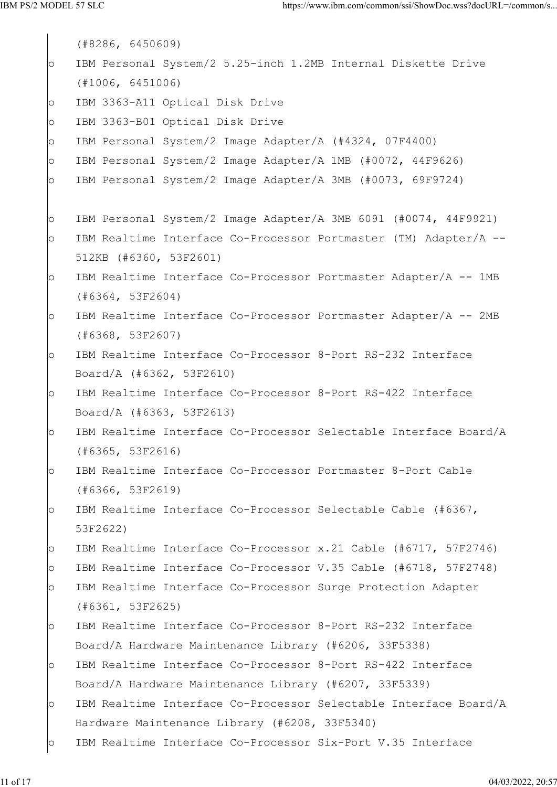```
 (#8286, 6450609)
o IBM Personal System/2 5.25-inch 1.2MB Internal Diskette Drive
    (#1006, 6451006)
o IBM 3363-A11 Optical Disk Drive
o IBM 3363-B01 Optical Disk Drive
o IBM Personal System/2 Image Adapter/A (#4324, 07F4400)
o IBM Personal System/2 Image Adapter/A 1MB (#0072, 44F9626)
o IBM Personal System/2 Image Adapter/A 3MB (#0073, 69F9724)
o IBM Personal System/2 Image Adapter/A 3MB 6091 (#0074, 44F9921)
o IBM Realtime Interface Co-Processor Portmaster (TM) Adapter/A --
    512KB (#6360, 53F2601)
o IBM Realtime Interface Co-Processor Portmaster Adapter/A -- 1MB
    (#6364, 53F2604)
o IBM Realtime Interface Co-Processor Portmaster Adapter/A -- 2MB
    (#6368, 53F2607)
o IBM Realtime Interface Co-Processor 8-Port RS-232 Interface
    Board/A (#6362, 53F2610)
o IBM Realtime Interface Co-Processor 8-Port RS-422 Interface
    Board/A (#6363, 53F2613)
o IBM Realtime Interface Co-Processor Selectable Interface Board/A
    (#6365, 53F2616)
o IBM Realtime Interface Co-Processor Portmaster 8-Port Cable
    (#6366, 53F2619)
o IBM Realtime Interface Co-Processor Selectable Cable (#6367,
    53F2622)
o IBM Realtime Interface Co-Processor x.21 Cable (#6717, 57F2746)
o IBM Realtime Interface Co-Processor V.35 Cable (#6718, 57F2748)
o IBM Realtime Interface Co-Processor Surge Protection Adapter
    (#6361, 53F2625)
o IBM Realtime Interface Co-Processor 8-Port RS-232 Interface
    Board/A Hardware Maintenance Library (#6206, 33F5338)
o IBM Realtime Interface Co-Processor 8-Port RS-422 Interface
    Board/A Hardware Maintenance Library (#6207, 33F5339)
o IBM Realtime Interface Co-Processor Selectable Interface Board/A
    Hardware Maintenance Library (#6208, 33F5340)
o IBM Realtime Interface Co-Processor Six-Port V.35 Interface
```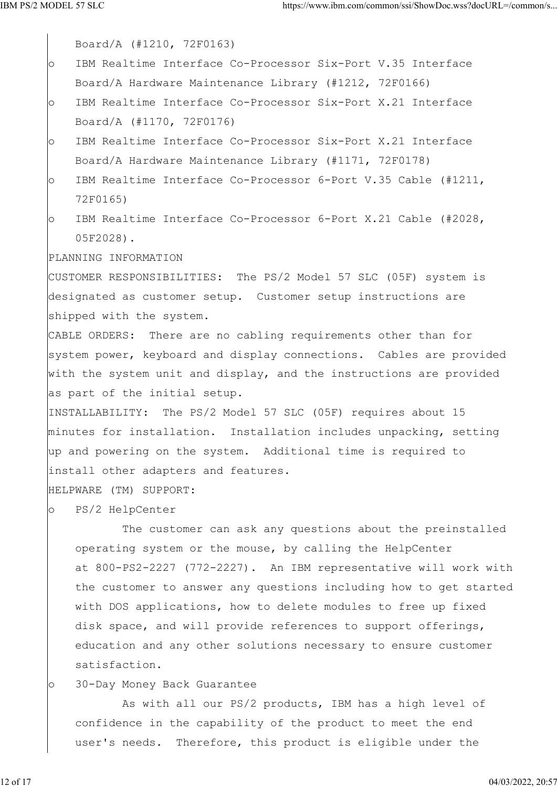Board/A (#1210, 72F0163) o IBM Realtime Interface Co-Processor Six-Port V.35 Interface Board/A Hardware Maintenance Library (#1212, 72F0166) o IBM Realtime Interface Co-Processor Six-Port X.21 Interface Board/A (#1170, 72F0176) o IBM Realtime Interface Co-Processor Six-Port X.21 Interface Board/A Hardware Maintenance Library (#1171, 72F0178) o IBM Realtime Interface Co-Processor 6-Port V.35 Cable (#1211, 72F0165) o IBM Realtime Interface Co-Processor 6-Port X.21 Cable (#2028, 05F2028). PLANNING INFORMATION CUSTOMER RESPONSIBILITIES: The PS/2 Model 57 SLC (05F) system is designated as customer setup. Customer setup instructions are shipped with the system. CABLE ORDERS: There are no cabling requirements other than for system power, keyboard and display connections. Cables are provided with the system unit and display, and the instructions are provided as part of the initial setup. INSTALLABILITY: The PS/2 Model 57 SLC (05F) requires about 15 minutes for installation. Installation includes unpacking, setting up and powering on the system. Additional time is required to install other adapters and features. HELPWARE (TM) SUPPORT: o PS/2 HelpCenter The customer can ask any questions about the preinstalled operating system or the mouse, by calling the HelpCenter at 800-PS2-2227 (772-2227). An IBM representative will work with the customer to answer any questions including how to get started with DOS applications, how to delete modules to free up fixed disk space, and will provide references to support offerings,

 education and any other solutions necessary to ensure customer satisfaction.

o 30-Day Money Back Guarantee

 As with all our PS/2 products, IBM has a high level of confidence in the capability of the product to meet the end user's needs. Therefore, this product is eligible under the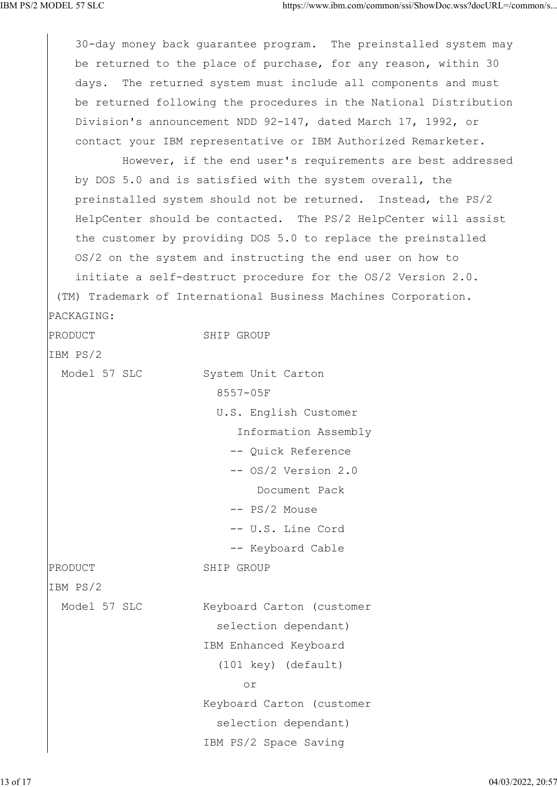30-day money back guarantee program. The preinstalled system may be returned to the place of purchase, for any reason, within 30 days. The returned system must include all components and must be returned following the procedures in the National Distribution Division's announcement NDD 92-147, dated March 17, 1992, or contact your IBM representative or IBM Authorized Remarketer. However, if the end user's requirements are best addressed by DOS 5.0 and is satisfied with the system overall, the preinstalled system should not be returned. Instead, the PS/2 HelpCenter should be contacted. The PS/2 HelpCenter will assist the customer by providing DOS 5.0 to replace the preinstalled OS/2 on the system and instructing the end user on how to initiate a self-destruct procedure for the OS/2 Version 2.0. (TM) Trademark of International Business Machines Corporation. PACKAGING: PRODUCT SHIP GROUP IBM PS/2 Model 57 SLC System Unit Carton 8557-05F U.S. English Customer Information Assembly -- Quick Reference -- OS/2 Version 2.0 Document Pack -- PS/2 Mouse -- U.S. Line Cord -- Keyboard Cable PRODUCT SHIP GROUP IBM PS/2 Model 57 SLC Keyboard Carton (customer selection dependant) IBM Enhanced Keyboard (101 key) (default) or Keyboard Carton (customer selection dependant) IBM PS/2 Space Saving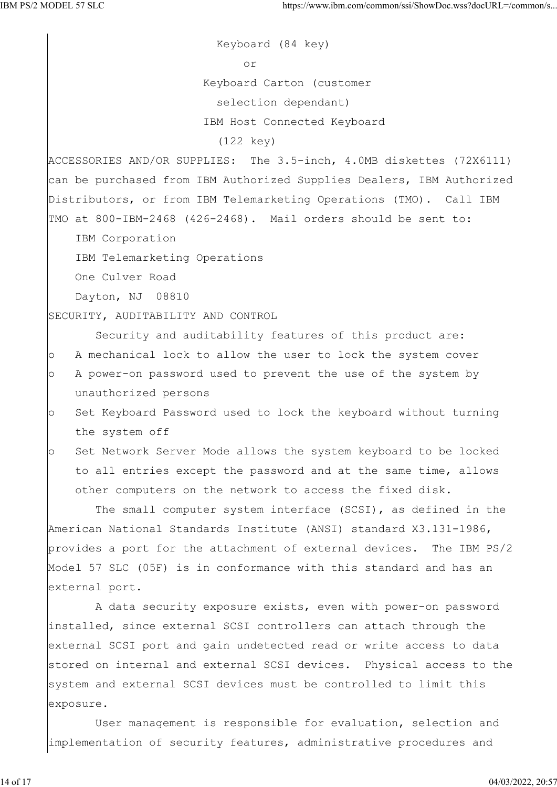Keyboard (84 key) or Keyboard Carton (customer selection dependant) IBM Host Connected Keyboard (122 key) ACCESSORIES AND/OR SUPPLIES: The 3.5-inch, 4.0MB diskettes (72X6111) can be purchased from IBM Authorized Supplies Dealers, IBM Authorized Distributors, or from IBM Telemarketing Operations (TMO). Call IBM TMO at 800-IBM-2468 (426-2468). Mail orders should be sent to: IBM Corporation IBM Telemarketing Operations One Culver Road Dayton, NJ 08810 SECURITY, AUDITABILITY AND CONTROL Security and auditability features of this product are: o A mechanical lock to allow the user to lock the system cover o A power-on password used to prevent the use of the system by unauthorized persons o Set Keyboard Password used to lock the keyboard without turning the system off o Set Network Server Mode allows the system keyboard to be locked to all entries except the password and at the same time, allows other computers on the network to access the fixed disk. The small computer system interface (SCSI), as defined in the American National Standards Institute (ANSI) standard X3.131-1986, provides a port for the attachment of external devices. The IBM PS/2 Model 57 SLC (05F) is in conformance with this standard and has an external port. A data security exposure exists, even with power-on password installed, since external SCSI controllers can attach through the external SCSI port and gain undetected read or write access to data stored on internal and external SCSI devices. Physical access to the system and external SCSI devices must be controlled to limit this exposure. User management is responsible for evaluation, selection and

implementation of security features, administrative procedures and

14 of 17 04/03/2022, 20:57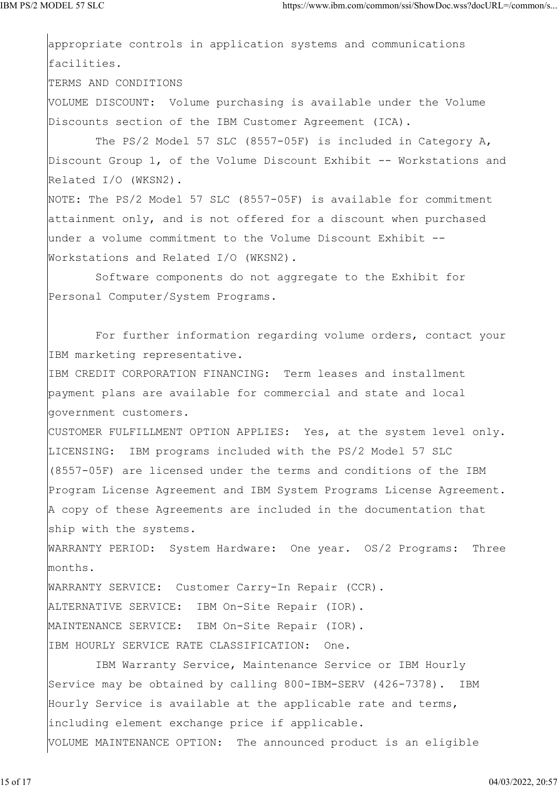appropriate controls in application systems and communications facilities.

TERMS AND CONDITIONS

VOLUME DISCOUNT: Volume purchasing is available under the Volume Discounts section of the IBM Customer Agreement (ICA).

 The PS/2 Model 57 SLC (8557-05F) is included in Category A, Discount Group 1, of the Volume Discount Exhibit -- Workstations and Related I/O (WKSN2).

NOTE: The PS/2 Model 57 SLC (8557-05F) is available for commitment attainment only, and is not offered for a discount when purchased under a volume commitment to the Volume Discount Exhibit -- Workstations and Related I/O (WKSN2).

 Software components do not aggregate to the Exhibit for Personal Computer/System Programs.

 For further information regarding volume orders, contact your IBM marketing representative.

IBM CREDIT CORPORATION FINANCING: Term leases and installment payment plans are available for commercial and state and local government customers.

CUSTOMER FULFILLMENT OPTION APPLIES: Yes, at the system level only. LICENSING: IBM programs included with the PS/2 Model 57 SLC (8557-05F) are licensed under the terms and conditions of the IBM Program License Agreement and IBM System Programs License Agreement. A copy of these Agreements are included in the documentation that ship with the systems.

WARRANTY PERIOD: System Hardware: One year. OS/2 Programs: Three months.

WARRANTY SERVICE: Customer Carry-In Repair (CCR). ALTERNATIVE SERVICE: IBM On-Site Repair (IOR). MAINTENANCE SERVICE: IBM On-Site Repair (IOR). IBM HOURLY SERVICE RATE CLASSIFICATION: One.

 IBM Warranty Service, Maintenance Service or IBM Hourly Service may be obtained by calling 800-IBM-SERV (426-7378). IBM Hourly Service is available at the applicable rate and terms, including element exchange price if applicable. VOLUME MAINTENANCE OPTION: The announced product is an eligible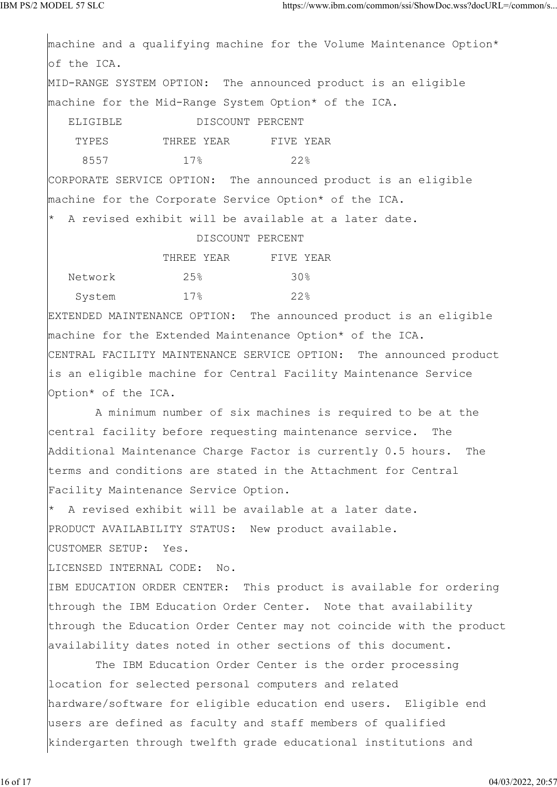machine and a qualifying machine for the Volume Maintenance Option\* of the ICA. MID-RANGE SYSTEM OPTION: The announced product is an eligible machine for the Mid-Range System Option\* of the ICA. ELIGIBLE DISCOUNT PERCENT TYPES THREE YEAR FIVE YEAR 8557 17% 22% CORPORATE SERVICE OPTION: The announced product is an eligible machine for the Corporate Service Option\* of the ICA. \* A revised exhibit will be available at a later date. DISCOUNT PERCENT THREE YEAR FIVE YEAR Network 25% 30% System  $17\frac{8}{9}$  22% EXTENDED MAINTENANCE OPTION: The announced product is an eligible machine for the Extended Maintenance Option\* of the ICA. CENTRAL FACILITY MAINTENANCE SERVICE OPTION: The announced product is an eligible machine for Central Facility Maintenance Service Option\* of the ICA. A minimum number of six machines is required to be at the central facility before requesting maintenance service. The Additional Maintenance Charge Factor is currently 0.5 hours. The terms and conditions are stated in the Attachment for Central Facility Maintenance Service Option. \* A revised exhibit will be available at a later date. PRODUCT AVAILABILITY STATUS: New product available. CUSTOMER SETUP: Yes. LICENSED INTERNAL CODE: No. IBM EDUCATION ORDER CENTER: This product is available for ordering through the IBM Education Order Center. Note that availability through the Education Order Center may not coincide with the product availability dates noted in other sections of this document. The IBM Education Order Center is the order processing location for selected personal computers and related hardware/software for eligible education end users. Eligible end users are defined as faculty and staff members of qualified kindergarten through twelfth grade educational institutions and

16 of 17 04/03/2022, 20:57